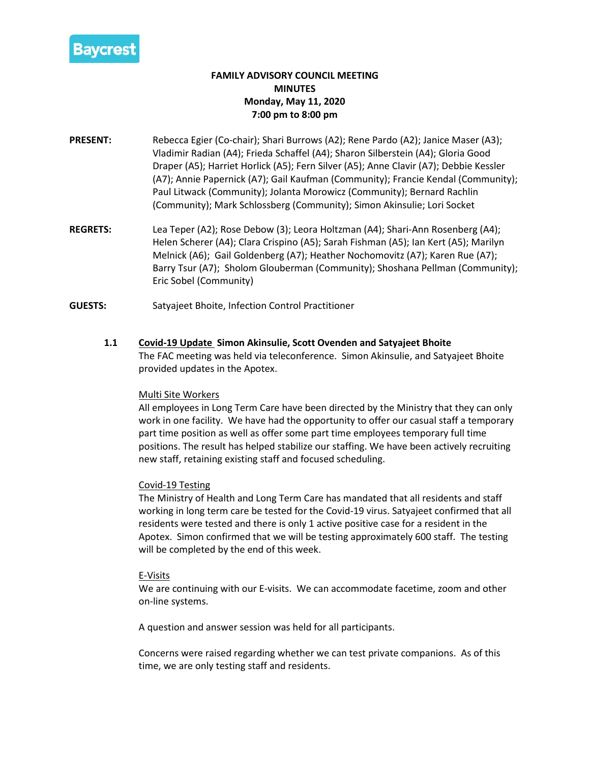

# **FAMILY ADVISORY COUNCIL MEETING MINUTES Monday, May 11, 2020 7:00 pm to 8:00 pm**

- **PRESENT:** Rebecca Egier (Co-chair); Shari Burrows (A2); Rene Pardo (A2); Janice Maser (A3); Vladimir Radian (A4); Frieda Schaffel (A4); Sharon Silberstein (A4); Gloria Good Draper (A5); Harriet Horlick (A5); Fern Silver (A5); Anne Clavir (A7); Debbie Kessler (A7); Annie Papernick (A7); Gail Kaufman (Community); Francie Kendal (Community); Paul Litwack (Community); Jolanta Morowicz (Community); Bernard Rachlin (Community); Mark Schlossberg (Community); Simon Akinsulie; Lori Socket
- **REGRETS:** Lea Teper (A2); Rose Debow (3); Leora Holtzman (A4); Shari-Ann Rosenberg (A4); Helen Scherer (A4); Clara Crispino (A5); Sarah Fishman (A5); Ian Kert (A5); Marilyn Melnick (A6); Gail Goldenberg (A7); Heather Nochomovitz (A7); Karen Rue (A7); Barry Tsur (A7); Sholom Glouberman (Community); Shoshana Pellman (Community); Eric Sobel (Community)
- **GUESTS:** Satyajeet Bhoite, Infection Control Practitioner
	- **1.1 Covid-19 Update Simon Akinsulie, Scott Ovenden and Satyajeet Bhoite** The FAC meeting was held via teleconference. Simon Akinsulie, and Satyajeet Bhoite provided updates in the Apotex.

### Multi Site Workers

All employees in Long Term Care have been directed by the Ministry that they can only work in one facility. We have had the opportunity to offer our casual staff a temporary part time position as well as offer some part time employees temporary full time positions. The result has helped stabilize our staffing. We have been actively recruiting new staff, retaining existing staff and focused scheduling.

### Covid-19 Testing

The Ministry of Health and Long Term Care has mandated that all residents and staff working in long term care be tested for the Covid-19 virus. Satyajeet confirmed that all residents were tested and there is only 1 active positive case for a resident in the Apotex. Simon confirmed that we will be testing approximately 600 staff. The testing will be completed by the end of this week.

### E-Visits

We are continuing with our E-visits. We can accommodate facetime, zoom and other on-line systems.

A question and answer session was held for all participants.

Concerns were raised regarding whether we can test private companions. As of this time, we are only testing staff and residents.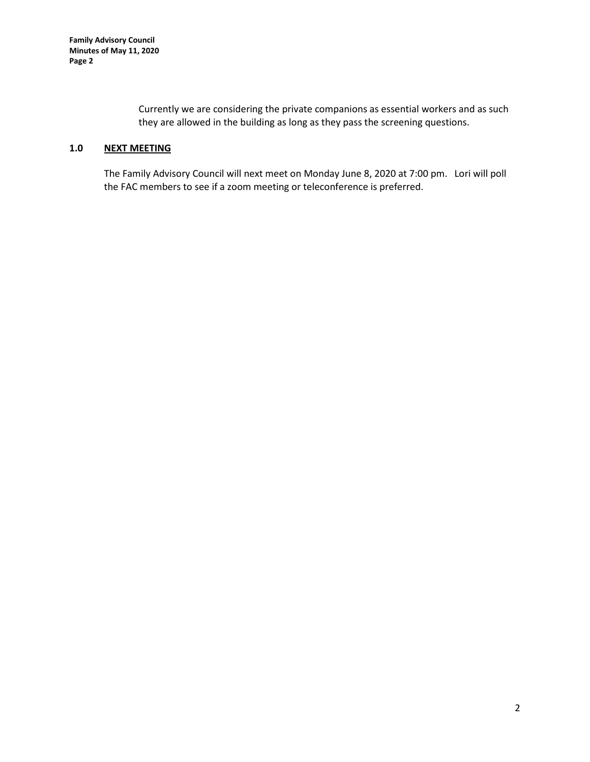Currently we are considering the private companions as essential workers and as such they are allowed in the building as long as they pass the screening questions.

## **1.0 NEXT MEETING**

The Family Advisory Council will next meet on Monday June 8, 2020 at 7:00 pm. Lori will poll the FAC members to see if a zoom meeting or teleconference is preferred.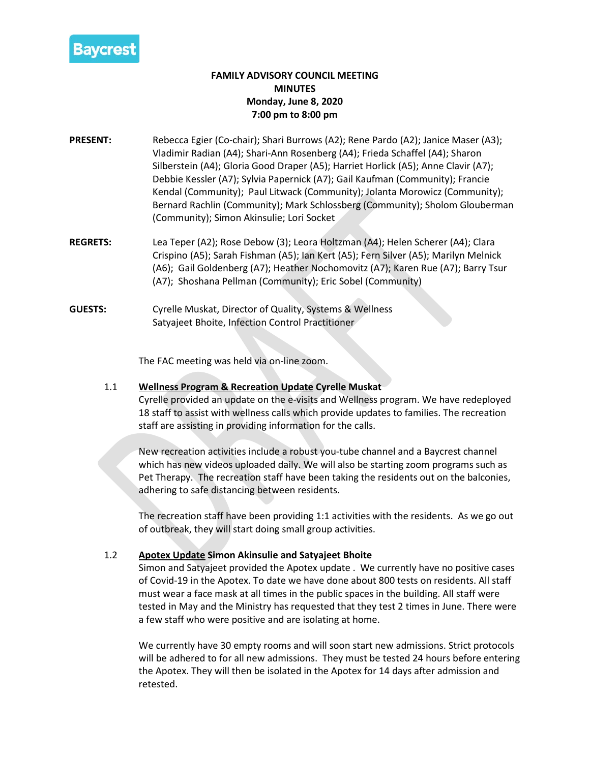

# **FAMILY ADVISORY COUNCIL MEETING MINUTES Monday, June 8, 2020 7:00 pm to 8:00 pm**

- **PRESENT:** Rebecca Egier (Co-chair); Shari Burrows (A2); Rene Pardo (A2); Janice Maser (A3); Vladimir Radian (A4); Shari-Ann Rosenberg (A4); Frieda Schaffel (A4); Sharon Silberstein (A4); Gloria Good Draper (A5); Harriet Horlick (A5); Anne Clavir (A7); Debbie Kessler (A7); Sylvia Papernick (A7); Gail Kaufman (Community); Francie Kendal (Community); Paul Litwack (Community); Jolanta Morowicz (Community); Bernard Rachlin (Community); Mark Schlossberg (Community); Sholom Glouberman (Community); Simon Akinsulie; Lori Socket
- **REGRETS:** Lea Teper (A2); Rose Debow (3); Leora Holtzman (A4); Helen Scherer (A4); Clara Crispino (A5); Sarah Fishman (A5); Ian Kert (A5); Fern Silver (A5); Marilyn Melnick (A6); Gail Goldenberg (A7); Heather Nochomovitz (A7); Karen Rue (A7); Barry Tsur (A7); Shoshana Pellman (Community); Eric Sobel (Community)
- **GUESTS:** Cyrelle Muskat, Director of Quality, Systems & Wellness Satyajeet Bhoite, Infection Control Practitioner

The FAC meeting was held via on-line zoom.

# 1.1 **Wellness Program & Recreation Update Cyrelle Muskat**

Cyrelle provided an update on the e-visits and Wellness program. We have redeployed 18 staff to assist with wellness calls which provide updates to families. The recreation staff are assisting in providing information for the calls.

New recreation activities include a robust you-tube channel and a Baycrest channel which has new videos uploaded daily. We will also be starting zoom programs such as Pet Therapy. The recreation staff have been taking the residents out on the balconies, adhering to safe distancing between residents.

The recreation staff have been providing 1:1 activities with the residents. As we go out of outbreak, they will start doing small group activities.

# 1.2 **Apotex Update Simon Akinsulie and Satyajeet Bhoite**

Simon and Satyajeet provided the Apotex update . We currently have no positive cases of Covid-19 in the Apotex. To date we have done about 800 tests on residents. All staff must wear a face mask at all times in the public spaces in the building. All staff were tested in May and the Ministry has requested that they test 2 times in June. There were a few staff who were positive and are isolating at home.

We currently have 30 empty rooms and will soon start new admissions. Strict protocols will be adhered to for all new admissions. They must be tested 24 hours before entering the Apotex. They will then be isolated in the Apotex for 14 days after admission and retested.